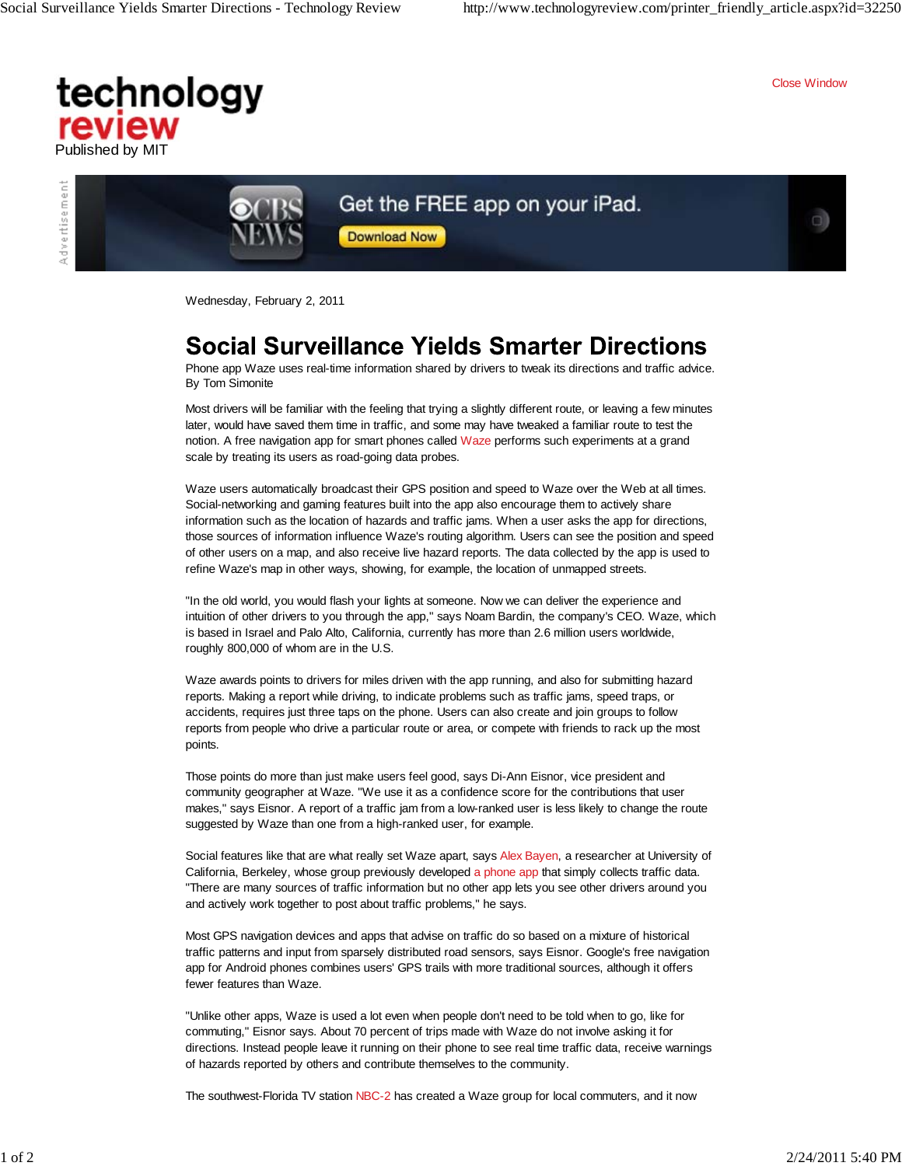Close Window

a)

## technology review Published by MIT



## Get the FREE app on your iPad.

**Download Now** 

Wednesday, February 2, 2011

## Social Surveillance Yields Smarter Directions

Phone app Waze uses real-time information shared by drivers to tweak its directions and traffic advice. By Tom Simonite

Most drivers will be familiar with the feeling that trying a slightly different route, or leaving a few minutes later, would have saved them time in traffic, and some may have tweaked a familiar route to test the notion. A free navigation app for smart phones called Waze performs such experiments at a grand scale by treating its users as road-going data probes.

Waze users automatically broadcast their GPS position and speed to Waze over the Web at all times. Social-networking and gaming features built into the app also encourage them to actively share information such as the location of hazards and traffic jams. When a user asks the app for directions, those sources of information influence Waze's routing algorithm. Users can see the position and speed of other users on a map, and also receive live hazard reports. The data collected by the app is used to refine Waze's map in other ways, showing, for example, the location of unmapped streets.

"In the old world, you would flash your lights at someone. Now we can deliver the experience and intuition of other drivers to you through the app," says Noam Bardin, the company's CEO. Waze, which is based in Israel and Palo Alto, California, currently has more than 2.6 million users worldwide, roughly 800,000 of whom are in the U.S.

Waze awards points to drivers for miles driven with the app running, and also for submitting hazard reports. Making a report while driving, to indicate problems such as traffic jams, speed traps, or accidents, requires just three taps on the phone. Users can also create and join groups to follow reports from people who drive a particular route or area, or compete with friends to rack up the most points.

Those points do more than just make users feel good, says Di-Ann Eisnor, vice president and community geographer at Waze. "We use it as a confidence score for the contributions that user makes," says Eisnor. A report of a traffic jam from a low-ranked user is less likely to change the route suggested by Waze than one from a high-ranked user, for example.

Social features like that are what really set Waze apart, says Alex Bayen, a researcher at University of California, Berkeley, whose group previously developed a phone app that simply collects traffic data. "There are many sources of traffic information but no other app lets you see other drivers around you and actively work together to post about traffic problems," he says.

Most GPS navigation devices and apps that advise on traffic do so based on a mixture of historical traffic patterns and input from sparsely distributed road sensors, says Eisnor. Google's free navigation app for Android phones combines users' GPS trails with more traditional sources, although it offers fewer features than Waze.

"Unlike other apps, Waze is used a lot even when people don't need to be told when to go, like for commuting," Eisnor says. About 70 percent of trips made with Waze do not involve asking it for directions. Instead people leave it running on their phone to see real time traffic data, receive warnings of hazards reported by others and contribute themselves to the community.

The southwest-Florida TV station NBC-2 has created a Waze group for local commuters, and it now